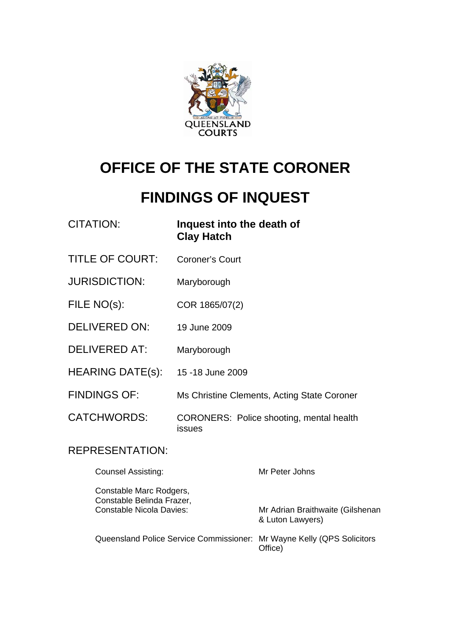

# **OFFICE OF THE STATE CORONER**

# **FINDINGS OF INQUEST**

| <b>CITATION:</b>                                     | Inquest into the death of<br><b>Clay Hatch</b>            |                                                      |
|------------------------------------------------------|-----------------------------------------------------------|------------------------------------------------------|
| <b>TITLE OF COURT:</b>                               | <b>Coroner's Court</b>                                    |                                                      |
| <b>JURISDICTION:</b>                                 | Maryborough                                               |                                                      |
| FILE NO(s):                                          | COR 1865/07(2)                                            |                                                      |
| <b>DELIVERED ON:</b>                                 | 19 June 2009                                              |                                                      |
| <b>DELIVERED AT:</b>                                 | Maryborough                                               |                                                      |
| <b>HEARING DATE(s):</b>                              | 15 - 18 June 2009                                         |                                                      |
| <b>FINDINGS OF:</b>                                  | Ms Christine Clements, Acting State Coroner               |                                                      |
| <b>CATCHWORDS:</b>                                   | <b>CORONERS: Police shooting, mental health</b><br>issues |                                                      |
| <b>REPRESENTATION:</b>                               |                                                           |                                                      |
| <b>Counsel Assisting:</b>                            |                                                           | Mr Peter Johns                                       |
| Constable Marc Rodgers,<br>Constable Belinda Frazer, |                                                           |                                                      |
| <b>Constable Nicola Davies:</b>                      |                                                           | Mr Adrian Braithwaite (Gilshenan<br>& Luton Lawyers) |
| Queensland Police Service Commissioner:              |                                                           | Mr Wayne Kelly (QPS Solicitors<br>Office)            |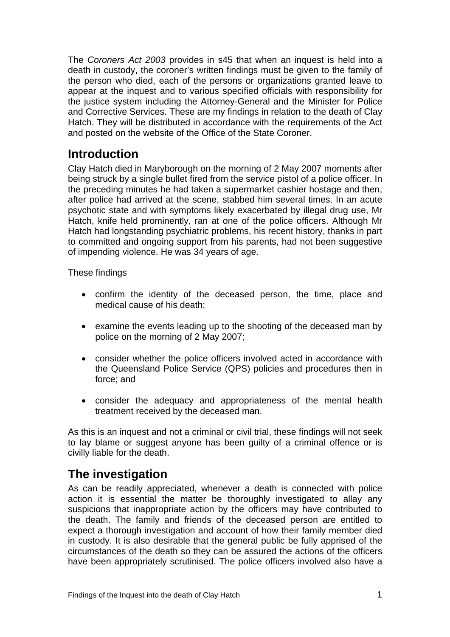The *Coroners Act 2003* provides in s45 that when an inquest is held into a death in custody, the coroner's written findings must be given to the family of the person who died, each of the persons or organizations granted leave to appear at the inquest and to various specified officials with responsibility for the justice system including the Attorney-General and the Minister for Police and Corrective Services. These are my findings in relation to the death of Clay Hatch. They will be distributed in accordance with the requirements of the Act and posted on the website of the Office of the State Coroner.

# **Introduction**

Clay Hatch died in Maryborough on the morning of 2 May 2007 moments after being struck by a single bullet fired from the service pistol of a police officer. In the preceding minutes he had taken a supermarket cashier hostage and then, after police had arrived at the scene, stabbed him several times. In an acute psychotic state and with symptoms likely exacerbated by illegal drug use, Mr Hatch, knife held prominently, ran at one of the police officers. Although Mr Hatch had longstanding psychiatric problems, his recent history, thanks in part to committed and ongoing support from his parents, had not been suggestive of impending violence. He was 34 years of age.

These findings

- confirm the identity of the deceased person, the time, place and medical cause of his death;
- examine the events leading up to the shooting of the deceased man by police on the morning of 2 May 2007;
- consider whether the police officers involved acted in accordance with the Queensland Police Service (QPS) policies and procedures then in force; and
- consider the adequacy and appropriateness of the mental health treatment received by the deceased man.

As this is an inquest and not a criminal or civil trial, these findings will not seek to lay blame or suggest anyone has been guilty of a criminal offence or is civilly liable for the death.

# **The investigation**

As can be readily appreciated, whenever a death is connected with police action it is essential the matter be thoroughly investigated to allay any suspicions that inappropriate action by the officers may have contributed to the death. The family and friends of the deceased person are entitled to expect a thorough investigation and account of how their family member died in custody. It is also desirable that the general public be fully apprised of the circumstances of the death so they can be assured the actions of the officers have been appropriately scrutinised. The police officers involved also have a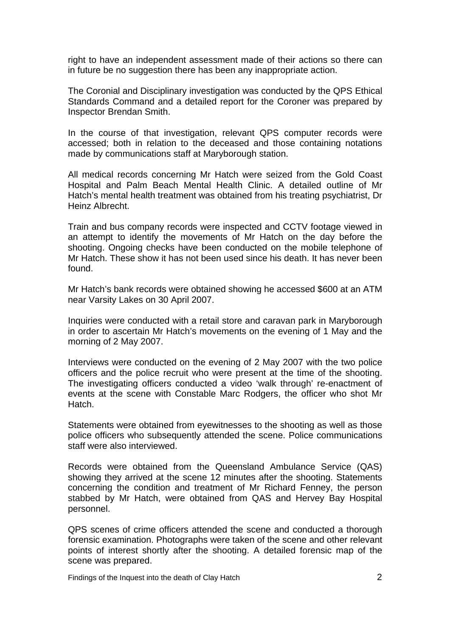right to have an independent assessment made of their actions so there can in future be no suggestion there has been any inappropriate action.

The Coronial and Disciplinary investigation was conducted by the QPS Ethical Standards Command and a detailed report for the Coroner was prepared by Inspector Brendan Smith.

In the course of that investigation, relevant QPS computer records were accessed; both in relation to the deceased and those containing notations made by communications staff at Maryborough station.

All medical records concerning Mr Hatch were seized from the Gold Coast Hospital and Palm Beach Mental Health Clinic. A detailed outline of Mr Hatch's mental health treatment was obtained from his treating psychiatrist, Dr Heinz Albrecht.

Train and bus company records were inspected and CCTV footage viewed in an attempt to identify the movements of Mr Hatch on the day before the shooting. Ongoing checks have been conducted on the mobile telephone of Mr Hatch. These show it has not been used since his death. It has never been found.

Mr Hatch's bank records were obtained showing he accessed \$600 at an ATM near Varsity Lakes on 30 April 2007.

Inquiries were conducted with a retail store and caravan park in Maryborough in order to ascertain Mr Hatch's movements on the evening of 1 May and the morning of 2 May 2007.

Interviews were conducted on the evening of 2 May 2007 with the two police officers and the police recruit who were present at the time of the shooting. The investigating officers conducted a video 'walk through' re-enactment of events at the scene with Constable Marc Rodgers, the officer who shot Mr **Hatch** 

Statements were obtained from eyewitnesses to the shooting as well as those police officers who subsequently attended the scene. Police communications staff were also interviewed.

Records were obtained from the Queensland Ambulance Service (QAS) showing they arrived at the scene 12 minutes after the shooting. Statements concerning the condition and treatment of Mr Richard Fenney, the person stabbed by Mr Hatch, were obtained from QAS and Hervey Bay Hospital personnel.

QPS scenes of crime officers attended the scene and conducted a thorough forensic examination. Photographs were taken of the scene and other relevant points of interest shortly after the shooting. A detailed forensic map of the scene was prepared.

Findings of the Inquest into the death of Clay Hatch **2** and 2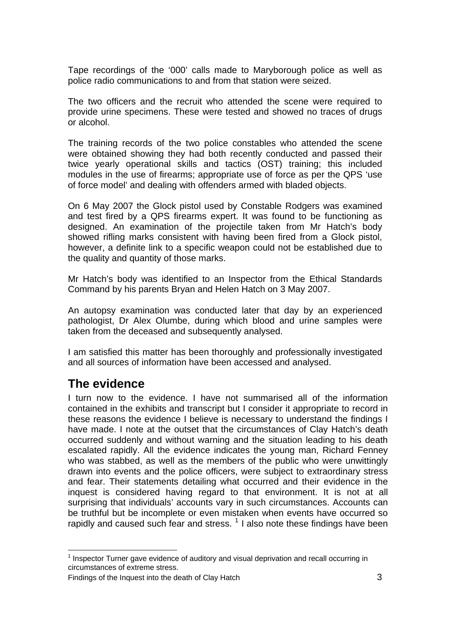Tape recordings of the '000' calls made to Maryborough police as well as police radio communications to and from that station were seized.

The two officers and the recruit who attended the scene were required to provide urine specimens. These were tested and showed no traces of drugs or alcohol.

The training records of the two police constables who attended the scene were obtained showing they had both recently conducted and passed their twice yearly operational skills and tactics (OST) training; this included modules in the use of firearms; appropriate use of force as per the QPS 'use of force model' and dealing with offenders armed with bladed objects.

On 6 May 2007 the Glock pistol used by Constable Rodgers was examined and test fired by a QPS firearms expert. It was found to be functioning as designed. An examination of the projectile taken from Mr Hatch's body showed rifling marks consistent with having been fired from a Glock pistol, however, a definite link to a specific weapon could not be established due to the quality and quantity of those marks.

Mr Hatch's body was identified to an Inspector from the Ethical Standards Command by his parents Bryan and Helen Hatch on 3 May 2007.

An autopsy examination was conducted later that day by an experienced pathologist, Dr Alex Olumbe, during which blood and urine samples were taken from the deceased and subsequently analysed.

I am satisfied this matter has been thoroughly and professionally investigated and all sources of information have been accessed and analysed.

## **The evidence**

I turn now to the evidence. I have not summarised all of the information contained in the exhibits and transcript but I consider it appropriate to record in these reasons the evidence I believe is necessary to understand the findings I have made. I note at the outset that the circumstances of Clay Hatch's death occurred suddenly and without warning and the situation leading to his death escalated rapidly. All the evidence indicates the young man, Richard Fenney who was stabbed, as well as the members of the public who were unwittingly drawn into events and the police officers, were subject to extraordinary stress and fear. Their statements detailing what occurred and their evidence in the inquest is considered having regard to that environment. It is not at all surprising that individuals' accounts vary in such circumstances. Accounts can be truthful but be incomplete or even mistaken when events have occurred so rapidly and caused such fear and stress.  $1$  I also note these findings have been

<span id="page-3-0"></span>l <sup>1</sup> Inspector Turner gave evidence of auditory and visual deprivation and recall occurring in circumstances of extreme stress.

Findings of the Inquest into the death of Clay Hatch 3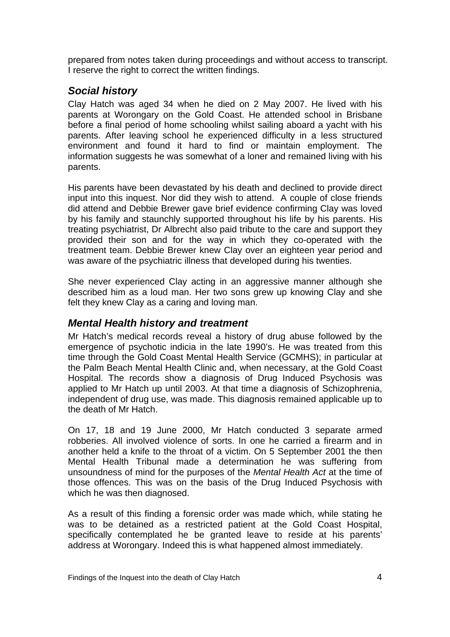prepared from notes taken during proceedings and without access to transcript. I reserve the right to correct the written findings.

## *Social history*

Clay Hatch was aged 34 when he died on 2 May 2007. He lived with his parents at Worongary on the Gold Coast. He attended school in Brisbane before a final period of home schooling whilst sailing aboard a yacht with his parents. After leaving school he experienced difficulty in a less structured environment and found it hard to find or maintain employment. The information suggests he was somewhat of a loner and remained living with his parents.

His parents have been devastated by his death and declined to provide direct input into this inquest. Nor did they wish to attend. A couple of close friends did attend and Debbie Brewer gave brief evidence confirming Clay was loved by his family and staunchly supported throughout his life by his parents. His treating psychiatrist, Dr Albrecht also paid tribute to the care and support they provided their son and for the way in which they co-operated with the treatment team. Debbie Brewer knew Clay over an eighteen year period and was aware of the psychiatric illness that developed during his twenties.

She never experienced Clay acting in an aggressive manner although she described him as a loud man. Her two sons grew up knowing Clay and she felt they knew Clay as a caring and loving man.

## *Mental Health history and treatment*

Mr Hatch's medical records reveal a history of drug abuse followed by the emergence of psychotic indicia in the late 1990's. He was treated from this time through the Gold Coast Mental Health Service (GCMHS); in particular at the Palm Beach Mental Health Clinic and, when necessary, at the Gold Coast Hospital. The records show a diagnosis of Drug Induced Psychosis was applied to Mr Hatch up until 2003. At that time a diagnosis of Schizophrenia, independent of drug use, was made. This diagnosis remained applicable up to the death of Mr Hatch.

On 17, 18 and 19 June 2000, Mr Hatch conducted 3 separate armed robberies. All involved violence of sorts. In one he carried a firearm and in another held a knife to the throat of a victim. On 5 September 2001 the then Mental Health Tribunal made a determination he was suffering from unsoundness of mind for the purposes of the *Mental Health Act* at the time of those offences. This was on the basis of the Drug Induced Psychosis with which he was then diagnosed.

As a result of this finding a forensic order was made which, while stating he was to be detained as a restricted patient at the Gold Coast Hospital, specifically contemplated he be granted leave to reside at his parents' address at Worongary. Indeed this is what happened almost immediately.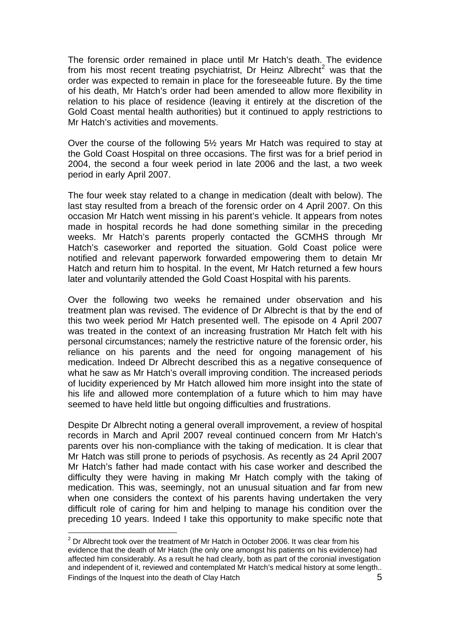The forensic order remained in place until Mr Hatch's death. The evidence from his most recent treating psychiatrist, Dr Heinz Albrecht<sup>[2](#page-5-0)</sup> was that the order was expected to remain in place for the foreseeable future. By the time of his death, Mr Hatch's order had been amended to allow more flexibility in relation to his place of residence (leaving it entirely at the discretion of the Gold Coast mental health authorities) but it continued to apply restrictions to Mr Hatch's activities and movements.

Over the course of the following 5½ years Mr Hatch was required to stay at the Gold Coast Hospital on three occasions. The first was for a brief period in 2004, the second a four week period in late 2006 and the last, a two week period in early April 2007.

The four week stay related to a change in medication (dealt with below). The last stay resulted from a breach of the forensic order on 4 April 2007. On this occasion Mr Hatch went missing in his parent's vehicle. It appears from notes made in hospital records he had done something similar in the preceding weeks. Mr Hatch's parents properly contacted the GCMHS through Mr Hatch's caseworker and reported the situation. Gold Coast police were notified and relevant paperwork forwarded empowering them to detain Mr Hatch and return him to hospital. In the event, Mr Hatch returned a few hours later and voluntarily attended the Gold Coast Hospital with his parents.

Over the following two weeks he remained under observation and his treatment plan was revised. The evidence of Dr Albrecht is that by the end of this two week period Mr Hatch presented well. The episode on 4 April 2007 was treated in the context of an increasing frustration Mr Hatch felt with his personal circumstances; namely the restrictive nature of the forensic order, his reliance on his parents and the need for ongoing management of his medication. Indeed Dr Albrecht described this as a negative consequence of what he saw as Mr Hatch's overall improving condition. The increased periods of lucidity experienced by Mr Hatch allowed him more insight into the state of his life and allowed more contemplation of a future which to him may have seemed to have held little but ongoing difficulties and frustrations.

Despite Dr Albrecht noting a general overall improvement, a review of hospital records in March and April 2007 reveal continued concern from Mr Hatch's parents over his non-compliance with the taking of medication. It is clear that Mr Hatch was still prone to periods of psychosis. As recently as 24 April 2007 Mr Hatch's father had made contact with his case worker and described the difficulty they were having in making Mr Hatch comply with the taking of medication. This was, seemingly, not an unusual situation and far from new when one considers the context of his parents having undertaken the very difficult role of caring for him and helping to manage his condition over the preceding 10 years. Indeed I take this opportunity to make specific note that

l

<span id="page-5-0"></span>Findings of the Inquest into the death of Clay Hatch 5  $2$  Dr Albrecht took over the treatment of Mr Hatch in October 2006. It was clear from his evidence that the death of Mr Hatch (the only one amongst his patients on his evidence) had affected him considerably. As a result he had clearly, both as part of the coronial investigation and independent of it, reviewed and contemplated Mr Hatch's medical history at some length..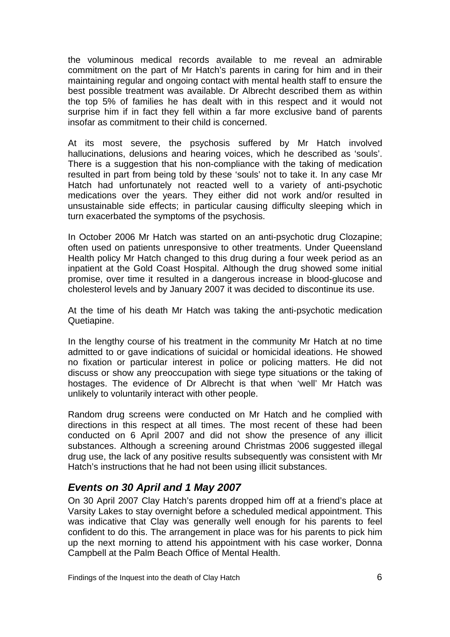the voluminous medical records available to me reveal an admirable commitment on the part of Mr Hatch's parents in caring for him and in their maintaining regular and ongoing contact with mental health staff to ensure the best possible treatment was available. Dr Albrecht described them as within the top 5% of families he has dealt with in this respect and it would not surprise him if in fact they fell within a far more exclusive band of parents insofar as commitment to their child is concerned.

At its most severe, the psychosis suffered by Mr Hatch involved hallucinations, delusions and hearing voices, which he described as 'souls'. There is a suggestion that his non-compliance with the taking of medication resulted in part from being told by these 'souls' not to take it. In any case Mr Hatch had unfortunately not reacted well to a variety of anti-psychotic medications over the years. They either did not work and/or resulted in unsustainable side effects; in particular causing difficulty sleeping which in turn exacerbated the symptoms of the psychosis.

In October 2006 Mr Hatch was started on an anti-psychotic drug Clozapine; often used on patients unresponsive to other treatments. Under Queensland Health policy Mr Hatch changed to this drug during a four week period as an inpatient at the Gold Coast Hospital. Although the drug showed some initial promise, over time it resulted in a dangerous increase in blood-glucose and cholesterol levels and by January 2007 it was decided to discontinue its use.

At the time of his death Mr Hatch was taking the anti-psychotic medication Quetiapine.

In the lengthy course of his treatment in the community Mr Hatch at no time admitted to or gave indications of suicidal or homicidal ideations. He showed no fixation or particular interest in police or policing matters. He did not discuss or show any preoccupation with siege type situations or the taking of hostages. The evidence of Dr Albrecht is that when 'well' Mr Hatch was unlikely to voluntarily interact with other people.

Random drug screens were conducted on Mr Hatch and he complied with directions in this respect at all times. The most recent of these had been conducted on 6 April 2007 and did not show the presence of any illicit substances. Although a screening around Christmas 2006 suggested illegal drug use, the lack of any positive results subsequently was consistent with Mr Hatch's instructions that he had not been using illicit substances.

## *Events on 30 April and 1 May 2007*

On 30 April 2007 Clay Hatch's parents dropped him off at a friend's place at Varsity Lakes to stay overnight before a scheduled medical appointment. This was indicative that Clay was generally well enough for his parents to feel confident to do this. The arrangement in place was for his parents to pick him up the next morning to attend his appointment with his case worker, Donna Campbell at the Palm Beach Office of Mental Health.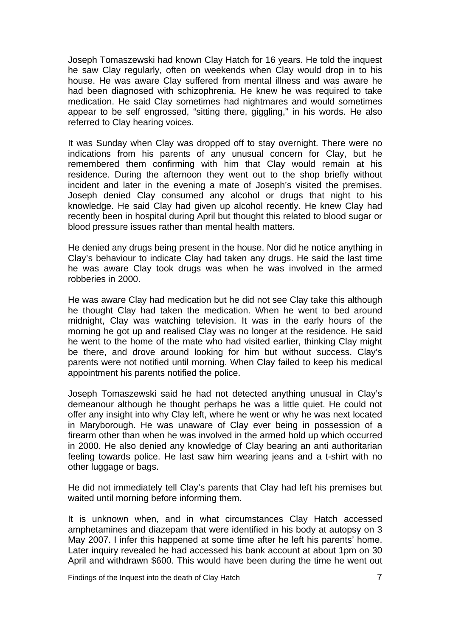Joseph Tomaszewski had known Clay Hatch for 16 years. He told the inquest he saw Clay regularly, often on weekends when Clay would drop in to his house. He was aware Clay suffered from mental illness and was aware he had been diagnosed with schizophrenia. He knew he was required to take medication. He said Clay sometimes had nightmares and would sometimes appear to be self engrossed, "sitting there, giggling," in his words. He also referred to Clay hearing voices.

It was Sunday when Clay was dropped off to stay overnight. There were no indications from his parents of any unusual concern for Clay, but he remembered them confirming with him that Clay would remain at his residence. During the afternoon they went out to the shop briefly without incident and later in the evening a mate of Joseph's visited the premises. Joseph denied Clay consumed any alcohol or drugs that night to his knowledge. He said Clay had given up alcohol recently. He knew Clay had recently been in hospital during April but thought this related to blood sugar or blood pressure issues rather than mental health matters.

He denied any drugs being present in the house. Nor did he notice anything in Clay's behaviour to indicate Clay had taken any drugs. He said the last time he was aware Clay took drugs was when he was involved in the armed robberies in 2000.

He was aware Clay had medication but he did not see Clay take this although he thought Clay had taken the medication. When he went to bed around midnight, Clay was watching television. It was in the early hours of the morning he got up and realised Clay was no longer at the residence. He said he went to the home of the mate who had visited earlier, thinking Clay might be there, and drove around looking for him but without success. Clay's parents were not notified until morning. When Clay failed to keep his medical appointment his parents notified the police.

Joseph Tomaszewski said he had not detected anything unusual in Clay's demeanour although he thought perhaps he was a little quiet. He could not offer any insight into why Clay left, where he went or why he was next located in Maryborough. He was unaware of Clay ever being in possession of a firearm other than when he was involved in the armed hold up which occurred in 2000. He also denied any knowledge of Clay bearing an anti authoritarian feeling towards police. He last saw him wearing jeans and a t-shirt with no other luggage or bags.

He did not immediately tell Clay's parents that Clay had left his premises but waited until morning before informing them.

It is unknown when, and in what circumstances Clay Hatch accessed amphetamines and diazepam that were identified in his body at autopsy on 3 May 2007. I infer this happened at some time after he left his parents' home. Later inquiry revealed he had accessed his bank account at about 1pm on 30 April and withdrawn \$600. This would have been during the time he went out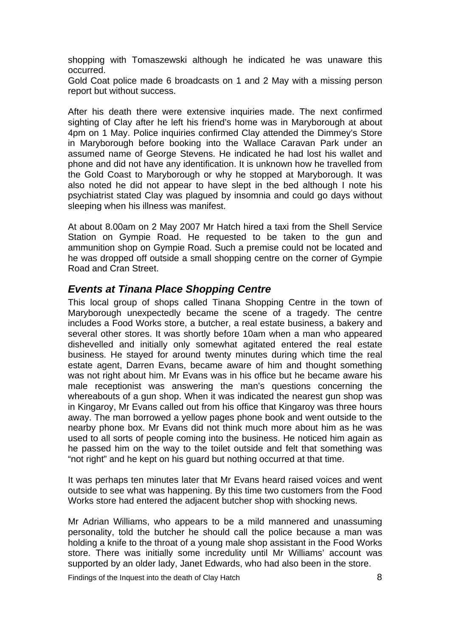shopping with Tomaszewski although he indicated he was unaware this occurred.

Gold Coat police made 6 broadcasts on 1 and 2 May with a missing person report but without success.

After his death there were extensive inquiries made. The next confirmed sighting of Clay after he left his friend's home was in Maryborough at about 4pm on 1 May. Police inquiries confirmed Clay attended the Dimmey's Store in Maryborough before booking into the Wallace Caravan Park under an assumed name of George Stevens. He indicated he had lost his wallet and phone and did not have any identification. It is unknown how he travelled from the Gold Coast to Maryborough or why he stopped at Maryborough. It was also noted he did not appear to have slept in the bed although I note his psychiatrist stated Clay was plagued by insomnia and could go days without sleeping when his illness was manifest.

At about 8.00am on 2 May 2007 Mr Hatch hired a taxi from the Shell Service Station on Gympie Road. He requested to be taken to the gun and ammunition shop on Gympie Road. Such a premise could not be located and he was dropped off outside a small shopping centre on the corner of Gympie Road and Cran Street.

#### *Events at Tinana Place Shopping Centre*

This local group of shops called Tinana Shopping Centre in the town of Maryborough unexpectedly became the scene of a tragedy. The centre includes a Food Works store, a butcher, a real estate business, a bakery and several other stores. It was shortly before 10am when a man who appeared dishevelled and initially only somewhat agitated entered the real estate business. He stayed for around twenty minutes during which time the real estate agent, Darren Evans, became aware of him and thought something was not right about him. Mr Evans was in his office but he became aware his male receptionist was answering the man's questions concerning the whereabouts of a gun shop. When it was indicated the nearest gun shop was in Kingaroy, Mr Evans called out from his office that Kingaroy was three hours away. The man borrowed a yellow pages phone book and went outside to the nearby phone box. Mr Evans did not think much more about him as he was used to all sorts of people coming into the business. He noticed him again as he passed him on the way to the toilet outside and felt that something was "not right" and he kept on his guard but nothing occurred at that time.

It was perhaps ten minutes later that Mr Evans heard raised voices and went outside to see what was happening. By this time two customers from the Food Works store had entered the adjacent butcher shop with shocking news.

Mr Adrian Williams, who appears to be a mild mannered and unassuming personality, told the butcher he should call the police because a man was holding a knife to the throat of a young male shop assistant in the Food Works store. There was initially some incredulity until Mr Williams' account was supported by an older lady, Janet Edwards, who had also been in the store.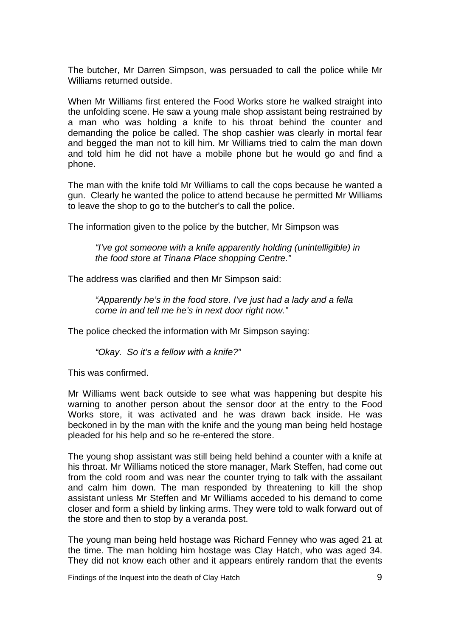The butcher, Mr Darren Simpson, was persuaded to call the police while Mr Williams returned outside.

When Mr Williams first entered the Food Works store he walked straight into the unfolding scene. He saw a young male shop assistant being restrained by a man who was holding a knife to his throat behind the counter and demanding the police be called. The shop cashier was clearly in mortal fear and begged the man not to kill him. Mr Williams tried to calm the man down and told him he did not have a mobile phone but he would go and find a phone.

The man with the knife told Mr Williams to call the cops because he wanted a gun. Clearly he wanted the police to attend because he permitted Mr Williams to leave the shop to go to the butcher's to call the police.

The information given to the police by the butcher, Mr Simpson was

*"I've got someone with a knife apparently holding (unintelligible) in the food store at Tinana Place shopping Centre."* 

The address was clarified and then Mr Simpson said:

*"Apparently he's in the food store. I've just had a lady and a fella come in and tell me he's in next door right now."* 

The police checked the information with Mr Simpson saying:

*"Okay. So it's a fellow with a knife?"* 

This was confirmed.

Mr Williams went back outside to see what was happening but despite his warning to another person about the sensor door at the entry to the Food Works store, it was activated and he was drawn back inside. He was beckoned in by the man with the knife and the young man being held hostage pleaded for his help and so he re-entered the store.

The young shop assistant was still being held behind a counter with a knife at his throat. Mr Williams noticed the store manager, Mark Steffen, had come out from the cold room and was near the counter trying to talk with the assailant and calm him down. The man responded by threatening to kill the shop assistant unless Mr Steffen and Mr Williams acceded to his demand to come closer and form a shield by linking arms. They were told to walk forward out of the store and then to stop by a veranda post.

The young man being held hostage was Richard Fenney who was aged 21 at the time. The man holding him hostage was Clay Hatch, who was aged 34. They did not know each other and it appears entirely random that the events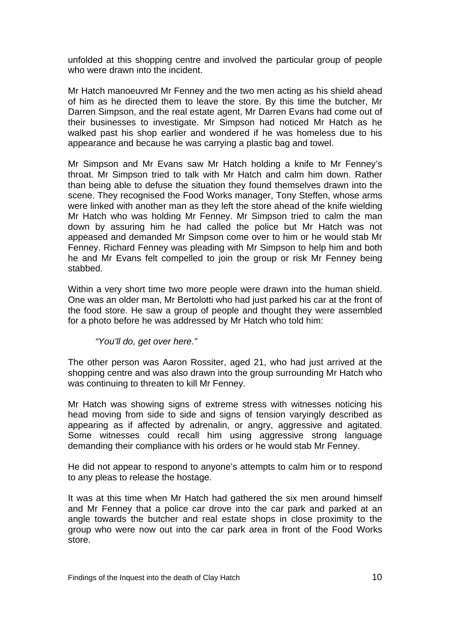unfolded at this shopping centre and involved the particular group of people who were drawn into the incident.

Mr Hatch manoeuvred Mr Fenney and the two men acting as his shield ahead of him as he directed them to leave the store. By this time the butcher, Mr Darren Simpson, and the real estate agent, Mr Darren Evans had come out of their businesses to investigate. Mr Simpson had noticed Mr Hatch as he walked past his shop earlier and wondered if he was homeless due to his appearance and because he was carrying a plastic bag and towel.

Mr Simpson and Mr Evans saw Mr Hatch holding a knife to Mr Fenney's throat. Mr Simpson tried to talk with Mr Hatch and calm him down. Rather than being able to defuse the situation they found themselves drawn into the scene. They recognised the Food Works manager, Tony Steffen, whose arms were linked with another man as they left the store ahead of the knife wielding Mr Hatch who was holding Mr Fenney. Mr Simpson tried to calm the man down by assuring him he had called the police but Mr Hatch was not appeased and demanded Mr Simpson come over to him or he would stab Mr Fenney. Richard Fenney was pleading with Mr Simpson to help him and both he and Mr Evans felt compelled to join the group or risk Mr Fenney being stabbed.

Within a very short time two more people were drawn into the human shield. One was an older man, Mr Bertolotti who had just parked his car at the front of the food store. He saw a group of people and thought they were assembled for a photo before he was addressed by Mr Hatch who told him:

*"You'll do, get over here."* 

The other person was Aaron Rossiter, aged 21, who had just arrived at the shopping centre and was also drawn into the group surrounding Mr Hatch who was continuing to threaten to kill Mr Fenney.

Mr Hatch was showing signs of extreme stress with witnesses noticing his head moving from side to side and signs of tension varyingly described as appearing as if affected by adrenalin, or angry, aggressive and agitated. Some witnesses could recall him using aggressive strong language demanding their compliance with his orders or he would stab Mr Fenney.

He did not appear to respond to anyone's attempts to calm him or to respond to any pleas to release the hostage.

It was at this time when Mr Hatch had gathered the six men around himself and Mr Fenney that a police car drove into the car park and parked at an angle towards the butcher and real estate shops in close proximity to the group who were now out into the car park area in front of the Food Works store.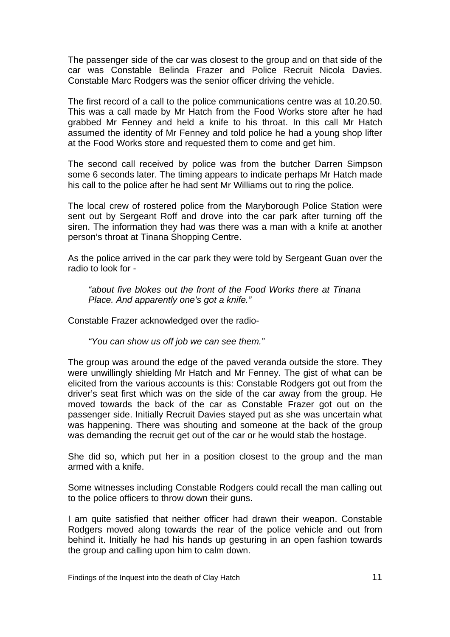The passenger side of the car was closest to the group and on that side of the car was Constable Belinda Frazer and Police Recruit Nicola Davies. Constable Marc Rodgers was the senior officer driving the vehicle.

The first record of a call to the police communications centre was at 10.20.50. This was a call made by Mr Hatch from the Food Works store after he had grabbed Mr Fenney and held a knife to his throat. In this call Mr Hatch assumed the identity of Mr Fenney and told police he had a young shop lifter at the Food Works store and requested them to come and get him.

The second call received by police was from the butcher Darren Simpson some 6 seconds later. The timing appears to indicate perhaps Mr Hatch made his call to the police after he had sent Mr Williams out to ring the police.

The local crew of rostered police from the Maryborough Police Station were sent out by Sergeant Roff and drove into the car park after turning off the siren. The information they had was there was a man with a knife at another person's throat at Tinana Shopping Centre.

As the police arrived in the car park they were told by Sergeant Guan over the radio to look for -

*"about five blokes out the front of the Food Works there at Tinana Place. And apparently one's got a knife."* 

Constable Frazer acknowledged over the radio-

*"You can show us off job we can see them."* 

The group was around the edge of the paved veranda outside the store. They were unwillingly shielding Mr Hatch and Mr Fenney. The gist of what can be elicited from the various accounts is this: Constable Rodgers got out from the driver's seat first which was on the side of the car away from the group. He moved towards the back of the car as Constable Frazer got out on the passenger side. Initially Recruit Davies stayed put as she was uncertain what was happening. There was shouting and someone at the back of the group was demanding the recruit get out of the car or he would stab the hostage.

She did so, which put her in a position closest to the group and the man armed with a knife.

Some witnesses including Constable Rodgers could recall the man calling out to the police officers to throw down their guns.

I am quite satisfied that neither officer had drawn their weapon. Constable Rodgers moved along towards the rear of the police vehicle and out from behind it. Initially he had his hands up gesturing in an open fashion towards the group and calling upon him to calm down.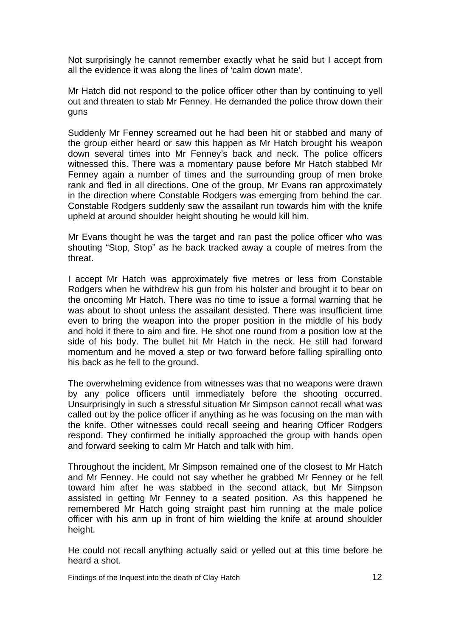Not surprisingly he cannot remember exactly what he said but I accept from all the evidence it was along the lines of 'calm down mate'.

Mr Hatch did not respond to the police officer other than by continuing to yell out and threaten to stab Mr Fenney. He demanded the police throw down their guns

Suddenly Mr Fenney screamed out he had been hit or stabbed and many of the group either heard or saw this happen as Mr Hatch brought his weapon down several times into Mr Fenney's back and neck. The police officers witnessed this. There was a momentary pause before Mr Hatch stabbed Mr Fenney again a number of times and the surrounding group of men broke rank and fled in all directions. One of the group, Mr Evans ran approximately in the direction where Constable Rodgers was emerging from behind the car. Constable Rodgers suddenly saw the assailant run towards him with the knife upheld at around shoulder height shouting he would kill him.

Mr Evans thought he was the target and ran past the police officer who was shouting "Stop, Stop" as he back tracked away a couple of metres from the threat.

I accept Mr Hatch was approximately five metres or less from Constable Rodgers when he withdrew his gun from his holster and brought it to bear on the oncoming Mr Hatch. There was no time to issue a formal warning that he was about to shoot unless the assailant desisted. There was insufficient time even to bring the weapon into the proper position in the middle of his body and hold it there to aim and fire. He shot one round from a position low at the side of his body. The bullet hit Mr Hatch in the neck. He still had forward momentum and he moved a step or two forward before falling spiralling onto his back as he fell to the ground.

The overwhelming evidence from witnesses was that no weapons were drawn by any police officers until immediately before the shooting occurred. Unsurprisingly in such a stressful situation Mr Simpson cannot recall what was called out by the police officer if anything as he was focusing on the man with the knife. Other witnesses could recall seeing and hearing Officer Rodgers respond. They confirmed he initially approached the group with hands open and forward seeking to calm Mr Hatch and talk with him.

Throughout the incident, Mr Simpson remained one of the closest to Mr Hatch and Mr Fenney. He could not say whether he grabbed Mr Fenney or he fell toward him after he was stabbed in the second attack, but Mr Simpson assisted in getting Mr Fenney to a seated position. As this happened he remembered Mr Hatch going straight past him running at the male police officer with his arm up in front of him wielding the knife at around shoulder height.

He could not recall anything actually said or yelled out at this time before he heard a shot.

Findings of the Inquest into the death of Clay Hatch 12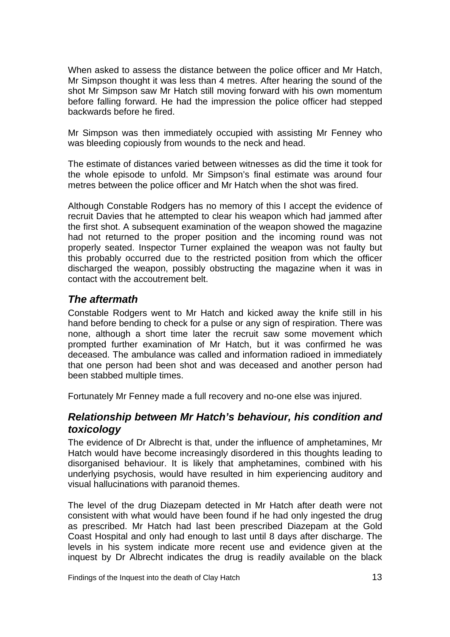When asked to assess the distance between the police officer and Mr Hatch, Mr Simpson thought it was less than 4 metres. After hearing the sound of the shot Mr Simpson saw Mr Hatch still moving forward with his own momentum before falling forward. He had the impression the police officer had stepped backwards before he fired.

Mr Simpson was then immediately occupied with assisting Mr Fenney who was bleeding copiously from wounds to the neck and head.

The estimate of distances varied between witnesses as did the time it took for the whole episode to unfold. Mr Simpson's final estimate was around four metres between the police officer and Mr Hatch when the shot was fired.

Although Constable Rodgers has no memory of this I accept the evidence of recruit Davies that he attempted to clear his weapon which had jammed after the first shot. A subsequent examination of the weapon showed the magazine had not returned to the proper position and the incoming round was not properly seated. Inspector Turner explained the weapon was not faulty but this probably occurred due to the restricted position from which the officer discharged the weapon, possibly obstructing the magazine when it was in contact with the accoutrement belt.

## *The aftermath*

Constable Rodgers went to Mr Hatch and kicked away the knife still in his hand before bending to check for a pulse or any sign of respiration. There was none, although a short time later the recruit saw some movement which prompted further examination of Mr Hatch, but it was confirmed he was deceased. The ambulance was called and information radioed in immediately that one person had been shot and was deceased and another person had been stabbed multiple times.

Fortunately Mr Fenney made a full recovery and no-one else was injured.

## *Relationship between Mr Hatch's behaviour, his condition and toxicology*

The evidence of Dr Albrecht is that, under the influence of amphetamines, Mr Hatch would have become increasingly disordered in this thoughts leading to disorganised behaviour. It is likely that amphetamines, combined with his underlying psychosis, would have resulted in him experiencing auditory and visual hallucinations with paranoid themes.

The level of the drug Diazepam detected in Mr Hatch after death were not consistent with what would have been found if he had only ingested the drug as prescribed. Mr Hatch had last been prescribed Diazepam at the Gold Coast Hospital and only had enough to last until 8 days after discharge. The levels in his system indicate more recent use and evidence given at the inquest by Dr Albrecht indicates the drug is readily available on the black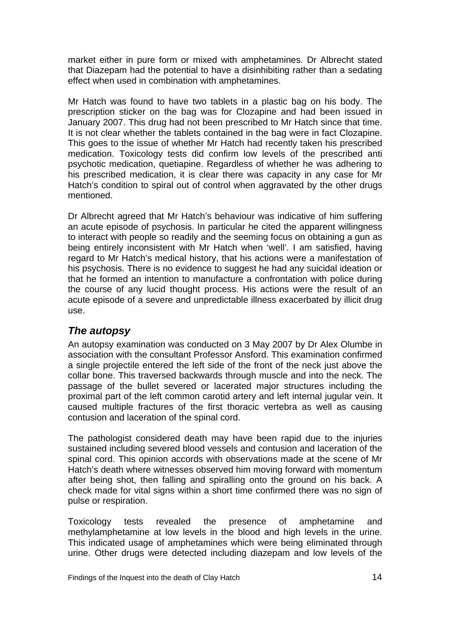market either in pure form or mixed with amphetamines. Dr Albrecht stated that Diazepam had the potential to have a disinhibiting rather than a sedating effect when used in combination with amphetamines.

Mr Hatch was found to have two tablets in a plastic bag on his body. The prescription sticker on the bag was for Clozapine and had been issued in January 2007. This drug had not been prescribed to Mr Hatch since that time. It is not clear whether the tablets contained in the bag were in fact Clozapine. This goes to the issue of whether Mr Hatch had recently taken his prescribed medication. Toxicology tests did confirm low levels of the prescribed anti psychotic medication, quetiapine. Regardless of whether he was adhering to his prescribed medication, it is clear there was capacity in any case for Mr Hatch's condition to spiral out of control when aggravated by the other drugs mentioned.

Dr Albrecht agreed that Mr Hatch's behaviour was indicative of him suffering an acute episode of psychosis. In particular he cited the apparent willingness to interact with people so readily and the seeming focus on obtaining a gun as being entirely inconsistent with Mr Hatch when 'well'. I am satisfied, having regard to Mr Hatch's medical history, that his actions were a manifestation of his psychosis. There is no evidence to suggest he had any suicidal ideation or that he formed an intention to manufacture a confrontation with police during the course of any lucid thought process. His actions were the result of an acute episode of a severe and unpredictable illness exacerbated by illicit drug use.

## *The autopsy*

An autopsy examination was conducted on 3 May 2007 by Dr Alex Olumbe in association with the consultant Professor Ansford. This examination confirmed a single projectile entered the left side of the front of the neck just above the collar bone. This traversed backwards through muscle and into the neck. The passage of the bullet severed or lacerated major structures including the proximal part of the left common carotid artery and left internal jugular vein. It caused multiple fractures of the first thoracic vertebra as well as causing contusion and laceration of the spinal cord.

The pathologist considered death may have been rapid due to the injuries sustained including severed blood vessels and contusion and laceration of the spinal cord. This opinion accords with observations made at the scene of Mr Hatch's death where witnesses observed him moving forward with momentum after being shot, then falling and spiralling onto the ground on his back. A check made for vital signs within a short time confirmed there was no sign of pulse or respiration.

Toxicology tests revealed the presence of amphetamine and methylamphetamine at low levels in the blood and high levels in the urine. This indicated usage of amphetamines which were being eliminated through urine. Other drugs were detected including diazepam and low levels of the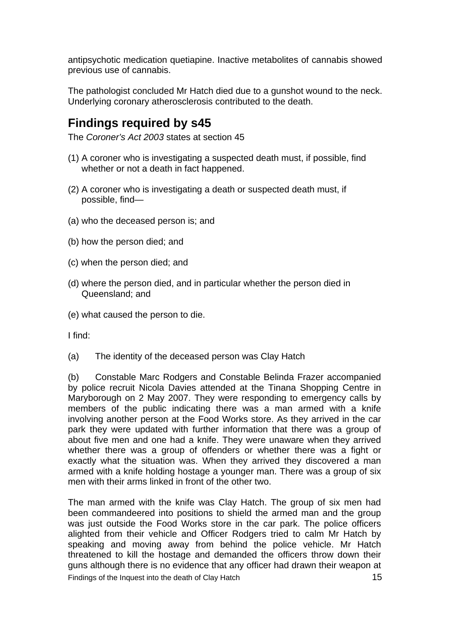antipsychotic medication quetiapine. Inactive metabolites of cannabis showed previous use of cannabis.

The pathologist concluded Mr Hatch died due to a gunshot wound to the neck. Underlying coronary atherosclerosis contributed to the death.

# **Findings required by s45**

The *Coroner's Act 2003* states at section 45

- (1) A coroner who is investigating a suspected death must, if possible, find whether or not a death in fact happened.
- (2) A coroner who is investigating a death or suspected death must, if possible, find—
- (a) who the deceased person is; and
- (b) how the person died; and
- (c) when the person died; and
- (d) where the person died, and in particular whether the person died in Queensland; and
- (e) what caused the person to die.

I find:

(a) The identity of the deceased person was Clay Hatch

(b) Constable Marc Rodgers and Constable Belinda Frazer accompanied by police recruit Nicola Davies attended at the Tinana Shopping Centre in Maryborough on 2 May 2007. They were responding to emergency calls by members of the public indicating there was a man armed with a knife involving another person at the Food Works store. As they arrived in the car park they were updated with further information that there was a group of about five men and one had a knife. They were unaware when they arrived whether there was a group of offenders or whether there was a fight or exactly what the situation was. When they arrived they discovered a man armed with a knife holding hostage a younger man. There was a group of six men with their arms linked in front of the other two.

Findings of the Inquest into the death of Clay Hatch 15 The man armed with the knife was Clay Hatch. The group of six men had been commandeered into positions to shield the armed man and the group was just outside the Food Works store in the car park. The police officers alighted from their vehicle and Officer Rodgers tried to calm Mr Hatch by speaking and moving away from behind the police vehicle. Mr Hatch threatened to kill the hostage and demanded the officers throw down their guns although there is no evidence that any officer had drawn their weapon at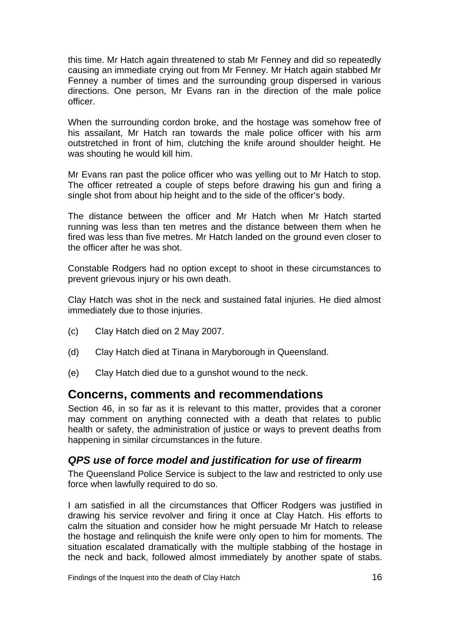this time. Mr Hatch again threatened to stab Mr Fenney and did so repeatedly causing an immediate crying out from Mr Fenney. Mr Hatch again stabbed Mr Fenney a number of times and the surrounding group dispersed in various directions. One person, Mr Evans ran in the direction of the male police officer.

When the surrounding cordon broke, and the hostage was somehow free of his assailant, Mr Hatch ran towards the male police officer with his arm outstretched in front of him, clutching the knife around shoulder height. He was shouting he would kill him.

Mr Evans ran past the police officer who was yelling out to Mr Hatch to stop. The officer retreated a couple of steps before drawing his gun and firing a single shot from about hip height and to the side of the officer's body.

The distance between the officer and Mr Hatch when Mr Hatch started running was less than ten metres and the distance between them when he fired was less than five metres. Mr Hatch landed on the ground even closer to the officer after he was shot.

Constable Rodgers had no option except to shoot in these circumstances to prevent grievous injury or his own death.

Clay Hatch was shot in the neck and sustained fatal injuries. He died almost immediately due to those injuries.

- (c) Clay Hatch died on 2 May 2007.
- (d) Clay Hatch died at Tinana in Maryborough in Queensland.
- (e) Clay Hatch died due to a gunshot wound to the neck.

## **Concerns, comments and recommendations**

Section 46, in so far as it is relevant to this matter, provides that a coroner may comment on anything connected with a death that relates to public health or safety, the administration of justice or ways to prevent deaths from happening in similar circumstances in the future.

#### *QPS use of force model and justification for use of firearm*

The Queensland Police Service is subject to the law and restricted to only use force when lawfully required to do so.

I am satisfied in all the circumstances that Officer Rodgers was justified in drawing his service revolver and firing it once at Clay Hatch. His efforts to calm the situation and consider how he might persuade Mr Hatch to release the hostage and relinquish the knife were only open to him for moments. The situation escalated dramatically with the multiple stabbing of the hostage in the neck and back, followed almost immediately by another spate of stabs.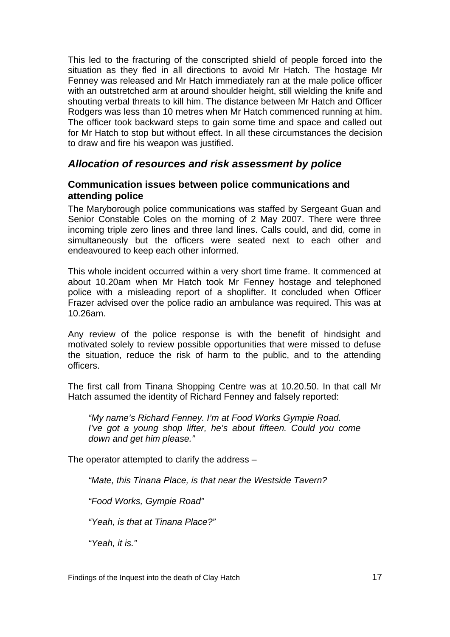This led to the fracturing of the conscripted shield of people forced into the situation as they fled in all directions to avoid Mr Hatch. The hostage Mr Fenney was released and Mr Hatch immediately ran at the male police officer with an outstretched arm at around shoulder height, still wielding the knife and shouting verbal threats to kill him. The distance between Mr Hatch and Officer Rodgers was less than 10 metres when Mr Hatch commenced running at him. The officer took backward steps to gain some time and space and called out for Mr Hatch to stop but without effect. In all these circumstances the decision to draw and fire his weapon was justified.

## *Allocation of resources and risk assessment by police*

#### **Communication issues between police communications and attending police**

The Maryborough police communications was staffed by Sergeant Guan and Senior Constable Coles on the morning of 2 May 2007. There were three incoming triple zero lines and three land lines. Calls could, and did, come in simultaneously but the officers were seated next to each other and endeavoured to keep each other informed.

This whole incident occurred within a very short time frame. It commenced at about 10.20am when Mr Hatch took Mr Fenney hostage and telephoned police with a misleading report of a shoplifter. It concluded when Officer Frazer advised over the police radio an ambulance was required. This was at 10.26am.

Any review of the police response is with the benefit of hindsight and motivated solely to review possible opportunities that were missed to defuse the situation, reduce the risk of harm to the public, and to the attending officers.

The first call from Tinana Shopping Centre was at 10.20.50. In that call Mr Hatch assumed the identity of Richard Fenney and falsely reported:

*"My name's Richard Fenney. I'm at Food Works Gympie Road. I've got a young shop lifter, he's about fifteen. Could you come down and get him please."* 

The operator attempted to clarify the address –

*"Mate, this Tinana Place, is that near the Westside Tavern?* 

*"Food Works, Gympie Road"* 

*"Yeah, is that at Tinana Place?"* 

*"Yeah, it is."*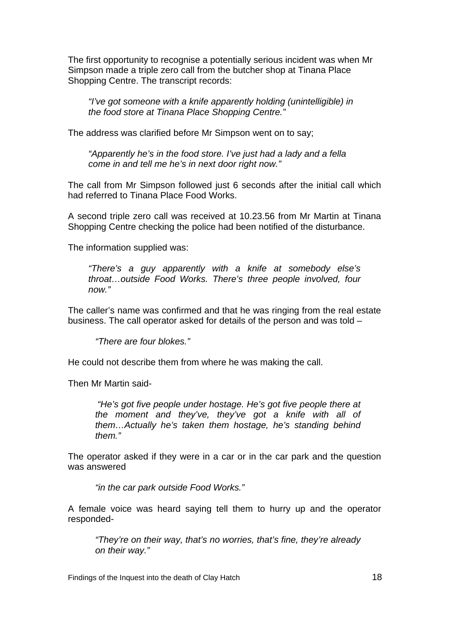The first opportunity to recognise a potentially serious incident was when Mr Simpson made a triple zero call from the butcher shop at Tinana Place Shopping Centre. The transcript records:

*"I've got someone with a knife apparently holding (unintelligible) in the food store at Tinana Place Shopping Centre."* 

The address was clarified before Mr Simpson went on to say;

*"Apparently he's in the food store. I've just had a lady and a fella come in and tell me he's in next door right now."* 

The call from Mr Simpson followed just 6 seconds after the initial call which had referred to Tinana Place Food Works.

A second triple zero call was received at 10.23.56 from Mr Martin at Tinana Shopping Centre checking the police had been notified of the disturbance.

The information supplied was:

*"There's a guy apparently with a knife at somebody else's throat…outside Food Works. There's three people involved, four now."* 

The caller's name was confirmed and that he was ringing from the real estate business. The call operator asked for details of the person and was told –

*"There are four blokes."* 

He could not describe them from where he was making the call.

Then Mr Martin said-

*"He's got five people under hostage. He's got five people there at the moment and they've, they've got a knife with all of them…Actually he's taken them hostage, he's standing behind them."* 

The operator asked if they were in a car or in the car park and the question was answered

*"in the car park outside Food Works."* 

A female voice was heard saying tell them to hurry up and the operator responded-

*"They're on their way, that's no worries, that's fine, they're already on their way."* 

Findings of the Inquest into the death of Clay Hatch 18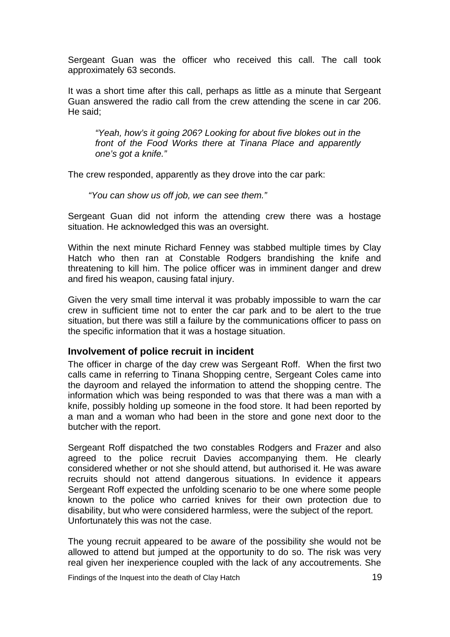Sergeant Guan was the officer who received this call. The call took approximately 63 seconds.

It was a short time after this call, perhaps as little as a minute that Sergeant Guan answered the radio call from the crew attending the scene in car 206. He said;

*"Yeah, how's it going 206? Looking for about five blokes out in the front of the Food Works there at Tinana Place and apparently one's got a knife."* 

The crew responded, apparently as they drove into the car park:

*"You can show us off job, we can see them."* 

Sergeant Guan did not inform the attending crew there was a hostage situation. He acknowledged this was an oversight.

Within the next minute Richard Fenney was stabbed multiple times by Clay Hatch who then ran at Constable Rodgers brandishing the knife and threatening to kill him. The police officer was in imminent danger and drew and fired his weapon, causing fatal injury.

Given the very small time interval it was probably impossible to warn the car crew in sufficient time not to enter the car park and to be alert to the true situation, but there was still a failure by the communications officer to pass on the specific information that it was a hostage situation.

#### **Involvement of police recruit in incident**

The officer in charge of the day crew was Sergeant Roff. When the first two calls came in referring to Tinana Shopping centre, Sergeant Coles came into the dayroom and relayed the information to attend the shopping centre. The information which was being responded to was that there was a man with a knife, possibly holding up someone in the food store. It had been reported by a man and a woman who had been in the store and gone next door to the butcher with the report.

Sergeant Roff dispatched the two constables Rodgers and Frazer and also agreed to the police recruit Davies accompanying them. He clearly considered whether or not she should attend, but authorised it. He was aware recruits should not attend dangerous situations. In evidence it appears Sergeant Roff expected the unfolding scenario to be one where some people known to the police who carried knives for their own protection due to disability, but who were considered harmless, were the subject of the report. Unfortunately this was not the case.

The young recruit appeared to be aware of the possibility she would not be allowed to attend but jumped at the opportunity to do so. The risk was very real given her inexperience coupled with the lack of any accoutrements. She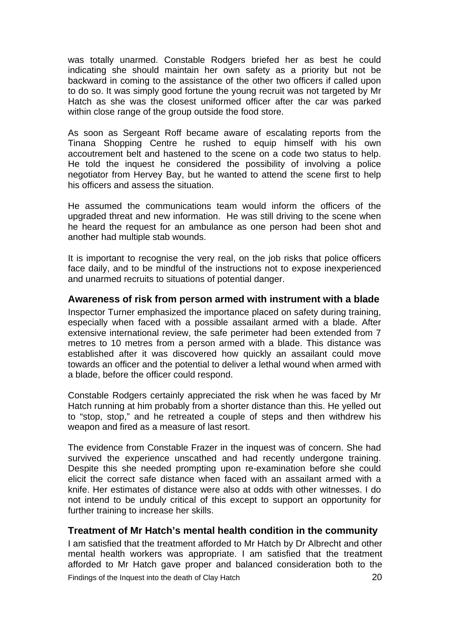was totally unarmed. Constable Rodgers briefed her as best he could indicating she should maintain her own safety as a priority but not be backward in coming to the assistance of the other two officers if called upon to do so. It was simply good fortune the young recruit was not targeted by Mr Hatch as she was the closest uniformed officer after the car was parked within close range of the group outside the food store.

As soon as Sergeant Roff became aware of escalating reports from the Tinana Shopping Centre he rushed to equip himself with his own accoutrement belt and hastened to the scene on a code two status to help. He told the inquest he considered the possibility of involving a police negotiator from Hervey Bay, but he wanted to attend the scene first to help his officers and assess the situation.

He assumed the communications team would inform the officers of the upgraded threat and new information. He was still driving to the scene when he heard the request for an ambulance as one person had been shot and another had multiple stab wounds.

It is important to recognise the very real, on the job risks that police officers face daily, and to be mindful of the instructions not to expose inexperienced and unarmed recruits to situations of potential danger.

#### **Awareness of risk from person armed with instrument with a blade**

Inspector Turner emphasized the importance placed on safety during training, especially when faced with a possible assailant armed with a blade. After extensive international review, the safe perimeter had been extended from 7 metres to 10 metres from a person armed with a blade. This distance was established after it was discovered how quickly an assailant could move towards an officer and the potential to deliver a lethal wound when armed with a blade, before the officer could respond.

Constable Rodgers certainly appreciated the risk when he was faced by Mr Hatch running at him probably from a shorter distance than this. He yelled out to "stop, stop," and he retreated a couple of steps and then withdrew his weapon and fired as a measure of last resort.

The evidence from Constable Frazer in the inquest was of concern. She had survived the experience unscathed and had recently undergone training. Despite this she needed prompting upon re-examination before she could elicit the correct safe distance when faced with an assailant armed with a knife. Her estimates of distance were also at odds with other witnesses. I do not intend to be unduly critical of this except to support an opportunity for further training to increase her skills.

#### **Treatment of Mr Hatch's mental health condition in the community**

I am satisfied that the treatment afforded to Mr Hatch by Dr Albrecht and other mental health workers was appropriate. I am satisfied that the treatment afforded to Mr Hatch gave proper and balanced consideration both to the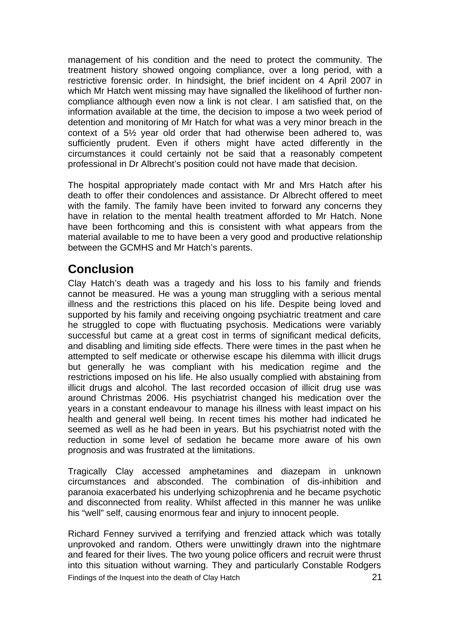management of his condition and the need to protect the community. The treatment history showed ongoing compliance, over a long period, with a restrictive forensic order. In hindsight, the brief incident on 4 April 2007 in which Mr Hatch went missing may have signalled the likelihood of further noncompliance although even now a link is not clear. I am satisfied that, on the information available at the time, the decision to impose a two week period of detention and monitoring of Mr Hatch for what was a very minor breach in the context of a 5½ year old order that had otherwise been adhered to, was sufficiently prudent. Even if others might have acted differently in the circumstances it could certainly not be said that a reasonably competent professional in Dr Albrecht's position could not have made that decision.

The hospital appropriately made contact with Mr and Mrs Hatch after his death to offer their condolences and assistance. Dr Albrecht offered to meet with the family. The family have been invited to forward any concerns they have in relation to the mental health treatment afforded to Mr Hatch. None have been forthcoming and this is consistent with what appears from the material available to me to have been a very good and productive relationship between the GCMHS and Mr Hatch's parents.

# **Conclusion**

Clay Hatch's death was a tragedy and his loss to his family and friends cannot be measured. He was a young man struggling with a serious mental illness and the restrictions this placed on his life. Despite being loved and supported by his family and receiving ongoing psychiatric treatment and care he struggled to cope with fluctuating psychosis. Medications were variably successful but came at a great cost in terms of significant medical deficits, and disabling and limiting side effects. There were times in the past when he attempted to self medicate or otherwise escape his dilemma with illicit drugs but generally he was compliant with his medication regime and the restrictions imposed on his life. He also usually complied with abstaining from illicit drugs and alcohol. The last recorded occasion of illicit drug use was around Christmas 2006. His psychiatrist changed his medication over the years in a constant endeavour to manage his illness with least impact on his health and general well being. In recent times his mother had indicated he seemed as well as he had been in years. But his psychiatrist noted with the reduction in some level of sedation he became more aware of his own prognosis and was frustrated at the limitations.

Tragically Clay accessed amphetamines and diazepam in unknown circumstances and absconded. The combination of dis-inhibition and paranoia exacerbated his underlying schizophrenia and he became psychotic and disconnected from reality. Whilst affected in this manner he was unlike his "well" self, causing enormous fear and injury to innocent people.

Findings of the Inquest into the death of Clay Hatch **21** Richard Fenney survived a terrifying and frenzied attack which was totally unprovoked and random. Others were unwittingly drawn into the nightmare and feared for their lives. The two young police officers and recruit were thrust into this situation without warning. They and particularly Constable Rodgers